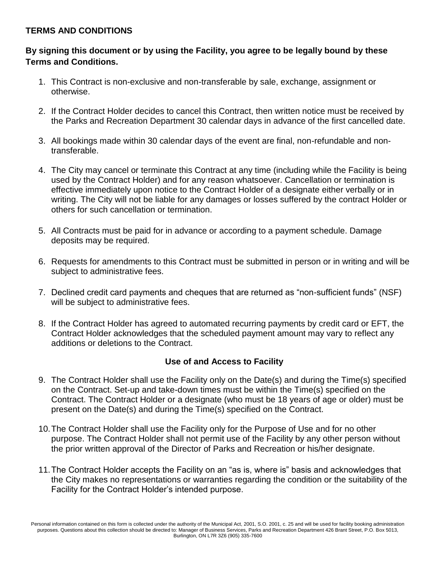#### **TERMS AND CONDITIONS**

# **By signing this document or by using the Facility, you agree to be legally bound by these Terms and Conditions.**

- 1. This Contract is non-exclusive and non-transferable by sale, exchange, assignment or otherwise.
- 2. If the Contract Holder decides to cancel this Contract, then written notice must be received by the Parks and Recreation Department 30 calendar days in advance of the first cancelled date.
- 3. All bookings made within 30 calendar days of the event are final, non-refundable and nontransferable.
- 4. The City may cancel or terminate this Contract at any time (including while the Facility is being used by the Contract Holder) and for any reason whatsoever. Cancellation or termination is effective immediately upon notice to the Contract Holder of a designate either verbally or in writing. The City will not be liable for any damages or losses suffered by the contract Holder or others for such cancellation or termination.
- 5. All Contracts must be paid for in advance or according to a payment schedule. Damage deposits may be required.
- 6. Requests for amendments to this Contract must be submitted in person or in writing and will be subject to administrative fees.
- 7. Declined credit card payments and cheques that are returned as "non-sufficient funds" (NSF) will be subject to administrative fees.
- 8. If the Contract Holder has agreed to automated recurring payments by credit card or EFT, the Contract Holder acknowledges that the scheduled payment amount may vary to reflect any additions or deletions to the Contract.

# **Use of and Access to Facility**

- 9. The Contract Holder shall use the Facility only on the Date(s) and during the Time(s) specified on the Contract. Set-up and take-down times must be within the Time(s) specified on the Contract. The Contract Holder or a designate (who must be 18 years of age or older) must be present on the Date(s) and during the Time(s) specified on the Contract.
- 10.The Contract Holder shall use the Facility only for the Purpose of Use and for no other purpose. The Contract Holder shall not permit use of the Facility by any other person without the prior written approval of the Director of Parks and Recreation or his/her designate.
- 11.The Contract Holder accepts the Facility on an "as is, where is" basis and acknowledges that the City makes no representations or warranties regarding the condition or the suitability of the Facility for the Contract Holder's intended purpose.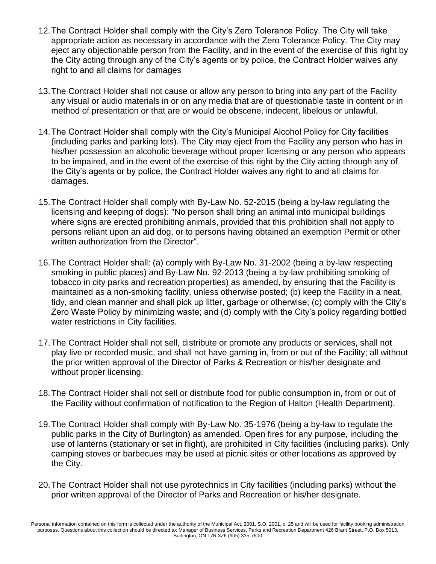- 12.The Contract Holder shall comply with the City's Zero Tolerance Policy. The City will take appropriate action as necessary in accordance with the Zero Tolerance Policy. The City may eject any objectionable person from the Facility, and in the event of the exercise of this right by the City acting through any of the City's agents or by police, the Contract Holder waives any right to and all claims for damages
- 13.The Contract Holder shall not cause or allow any person to bring into any part of the Facility any visual or audio materials in or on any media that are of questionable taste in content or in method of presentation or that are or would be obscene, indecent, libelous or unlawful.
- 14.The Contract Holder shall comply with the City's Municipal Alcohol Policy for City facilities (including parks and parking lots). The City may eject from the Facility any person who has in his/her possession an alcoholic beverage without proper licensing or any person who appears to be impaired, and in the event of the exercise of this right by the City acting through any of the City's agents or by police, the Contract Holder waives any right to and all claims for damages.
- 15.The Contract Holder shall comply with By-Law No. 52-2015 (being a by-law regulating the licensing and keeping of dogs): "No person shall bring an animal into municipal buildings where signs are erected prohibiting animals, provided that this prohibition shall not apply to persons reliant upon an aid dog, or to persons having obtained an exemption Permit or other written authorization from the Director".
- 16.The Contract Holder shall: (a) comply with By-Law No. 31-2002 (being a by-law respecting smoking in public places) and By-Law No. 92-2013 (being a by-law prohibiting smoking of tobacco in city parks and recreation properties) as amended, by ensuring that the Facility is maintained as a non-smoking facility, unless otherwise posted; (b) keep the Facility in a neat, tidy, and clean manner and shall pick up litter, garbage or otherwise; (c) comply with the City's Zero Waste Policy by minimizing waste; and (d) comply with the City's policy regarding bottled water restrictions in City facilities.
- 17.The Contract Holder shall not sell, distribute or promote any products or services, shall not play live or recorded music, and shall not have gaming in, from or out of the Facility; all without the prior written approval of the Director of Parks & Recreation or his/her designate and without proper licensing.
- 18.The Contract Holder shall not sell or distribute food for public consumption in, from or out of the Facility without confirmation of notification to the Region of Halton (Health Department).
- 19.The Contract Holder shall comply with By-Law No. 35-1976 (being a by-law to regulate the public parks in the City of Burlington) as amended. Open fires for any purpose, including the use of lanterns (stationary or set in flight), are prohibited in City facilities (including parks). Only camping stoves or barbecues may be used at picnic sites or other locations as approved by the City.
- 20.The Contract Holder shall not use pyrotechnics in City facilities (including parks) without the prior written approval of the Director of Parks and Recreation or his/her designate.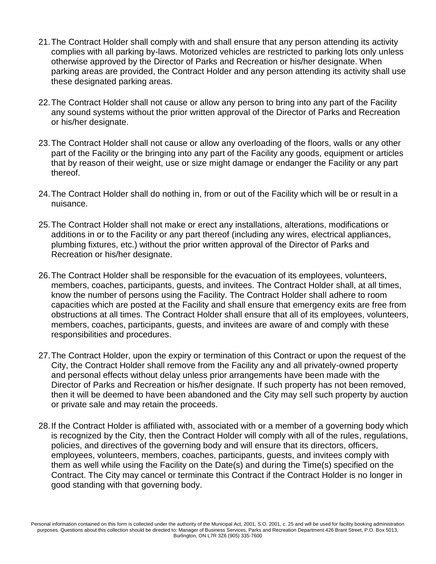- 21.The Contract Holder shall comply with and shall ensure that any person attending its activity complies with all parking by-laws. Motorized vehicles are restricted to parking lots only unless otherwise approved by the Director of Parks and Recreation or his/her designate. When parking areas are provided, the Contract Holder and any person attending its activity shall use these designated parking areas.
- 22.The Contract Holder shall not cause or allow any person to bring into any part of the Facility any sound systems without the prior written approval of the Director of Parks and Recreation or his/her designate.
- 23.The Contract Holder shall not cause or allow any overloading of the floors, walls or any other part of the Facility or the bringing into any part of the Facility any goods, equipment or articles that by reason of their weight, use or size might damage or endanger the Facility or any part thereof.
- 24.The Contract Holder shall do nothing in, from or out of the Facility which will be or result in a nuisance.
- 25.The Contract Holder shall not make or erect any installations, alterations, modifications or additions in or to the Facility or any part thereof (including any wires, electrical appliances, plumbing fixtures, etc.) without the prior written approval of the Director of Parks and Recreation or his/her designate.
- 26.The Contract Holder shall be responsible for the evacuation of its employees, volunteers, members, coaches, participants, guests, and invitees. The Contract Holder shall, at all times, know the number of persons using the Facility. The Contract Holder shall adhere to room capacities which are posted at the Facility and shall ensure that emergency exits are free from obstructions at all times. The Contract Holder shall ensure that all of its employees, volunteers, members, coaches, participants, guests, and invitees are aware of and comply with these responsibilities and procedures.
- 27.The Contract Holder, upon the expiry or termination of this Contract or upon the request of the City, the Contract Holder shall remove from the Facility any and all privately-owned property and personal effects without delay unless prior arrangements have been made with the Director of Parks and Recreation or his/her designate. If such property has not been removed, then it will be deemed to have been abandoned and the City may sell such property by auction or private sale and may retain the proceeds.
- 28.If the Contract Holder is affiliated with, associated with or a member of a governing body which is recognized by the City, then the Contract Holder will comply with all of the rules, regulations, policies, and directives of the governing body and will ensure that its directors, officers, employees, volunteers, members, coaches, participants, guests, and invitees comply with them as well while using the Facility on the Date(s) and during the Time(s) specified on the Contract. The City may cancel or terminate this Contract if the Contract Holder is no longer in good standing with that governing body.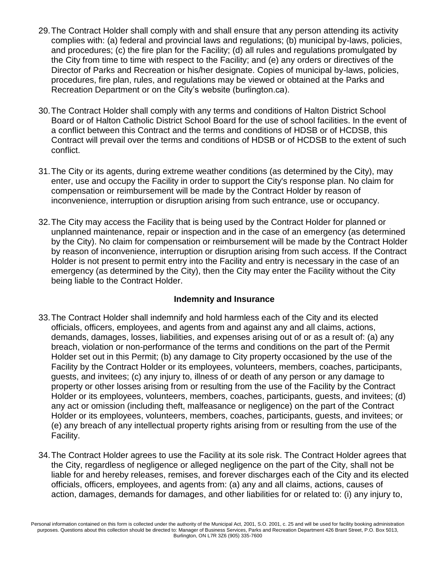- 29.The Contract Holder shall comply with and shall ensure that any person attending its activity complies with: (a) federal and provincial laws and regulations; (b) municipal by-laws, policies, and procedures; (c) the fire plan for the Facility; (d) all rules and regulations promulgated by the City from time to time with respect to the Facility; and (e) any orders or directives of the Director of Parks and Recreation or his/her designate. Copies of municipal by-laws, policies, procedures, fire plan, rules, and regulations may be viewed or obtained at the Parks and Recreation Department or on the City's website (burlington.ca).
- 30.The Contract Holder shall comply with any terms and conditions of Halton District School Board or of Halton Catholic District School Board for the use of school facilities. In the event of a conflict between this Contract and the terms and conditions of HDSB or of HCDSB, this Contract will prevail over the terms and conditions of HDSB or of HCDSB to the extent of such conflict.
- 31.The City or its agents, during extreme weather conditions (as determined by the City), may enter, use and occupy the Facility in order to support the City's response plan. No claim for compensation or reimbursement will be made by the Contract Holder by reason of inconvenience, interruption or disruption arising from such entrance, use or occupancy.
- 32.The City may access the Facility that is being used by the Contract Holder for planned or unplanned maintenance, repair or inspection and in the case of an emergency (as determined by the City). No claim for compensation or reimbursement will be made by the Contract Holder by reason of inconvenience, interruption or disruption arising from such access. If the Contract Holder is not present to permit entry into the Facility and entry is necessary in the case of an emergency (as determined by the City), then the City may enter the Facility without the City being liable to the Contract Holder.

#### **Indemnity and Insurance**

- 33.The Contract Holder shall indemnify and hold harmless each of the City and its elected officials, officers, employees, and agents from and against any and all claims, actions, demands, damages, losses, liabilities, and expenses arising out of or as a result of: (a) any breach, violation or non-performance of the terms and conditions on the part of the Permit Holder set out in this Permit; (b) any damage to City property occasioned by the use of the Facility by the Contract Holder or its employees, volunteers, members, coaches, participants, guests, and invitees; (c) any injury to, illness of or death of any person or any damage to property or other losses arising from or resulting from the use of the Facility by the Contract Holder or its employees, volunteers, members, coaches, participants, guests, and invitees; (d) any act or omission (including theft, malfeasance or negligence) on the part of the Contract Holder or its employees, volunteers, members, coaches, participants, guests, and invitees; or (e) any breach of any intellectual property rights arising from or resulting from the use of the Facility.
- 34.The Contract Holder agrees to use the Facility at its sole risk. The Contract Holder agrees that the City, regardless of negligence or alleged negligence on the part of the City, shall not be liable for and hereby releases, remises, and forever discharges each of the City and its elected officials, officers, employees, and agents from: (a) any and all claims, actions, causes of action, damages, demands for damages, and other liabilities for or related to: (i) any injury to,